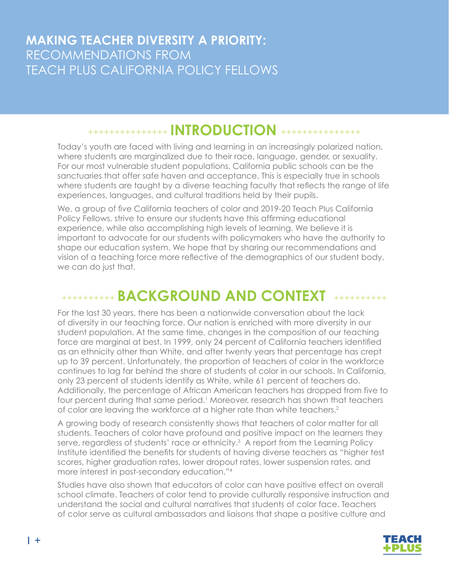### +++++++++++++++ **INTRODUCTION** +++++++++++++++

Today's youth are faced with living and learning in an increasingly polarized nation, where students are marginalized due to their race, language, gender, or sexuality. For our most vulnerable student populations, California public schools can be the sanctuaries that offer safe haven and acceptance. This is especially true in schools where students are taught by a diverse teaching faculty that reflects the range of life experiences, languages, and cultural traditions held by their pupils.

We, a group of five California teachers of color and 2019-20 Teach Plus California Policy Fellows, strive to ensure our students have this affirming educational experience, while also accomplishing high levels of learning. We believe it is important to advocate for our students with policymakers who have the authority to shape our education system. We hope that by sharing our recommendations and vision of a teaching force more reflective of the demographics of our student body, we can do just that.

# ++++++++++ **BACKGROUND AND CONTEXT** ++++++++++

For the last 30 years, there has been a nationwide conversation about the lack of diversity in our teaching force. Our nation is enriched with more diversity in our student population. At the same time, changes in the composition of our teaching force are marginal at best. In 1999, only 24 percent of California teachers identified as an ethnicity other than White, and after twenty years that percentage has crept up to 39 percent. Unfortunately, the proportion of teachers of color in the workforce continues to lag far behind the share of students of color in our schools. In California, only 23 percent of students identify as White, while 61 percent of teachers do. Additionally, the percentage of African American teachers has dropped from five to four percent during that same period.<sup>1</sup> Moreover, research has shown that teachers of color are leaving the workforce at a higher rate than white teachers.<sup>2</sup>

A growing body of research consistently shows that teachers of color matter for all students. Teachers of color have profound and positive impact on the learners they serve, regardless of students' race or ethnicity.<sup>3</sup> A report from the Learning Policy Institute identified the benefits for students of having diverse teachers as "higher test scores, higher graduation rates, lower dropout rates, lower suspension rates, and more interest in post-secondary education."<sup>4</sup>

Studies have also shown that educators of color can have positive effect on overall school climate. Teachers of color tend to provide culturally responsive instruction and understand the social and cultural narratives that students of color face. Teachers of color serve as cultural ambassadors and liaisons that shape a positive culture and

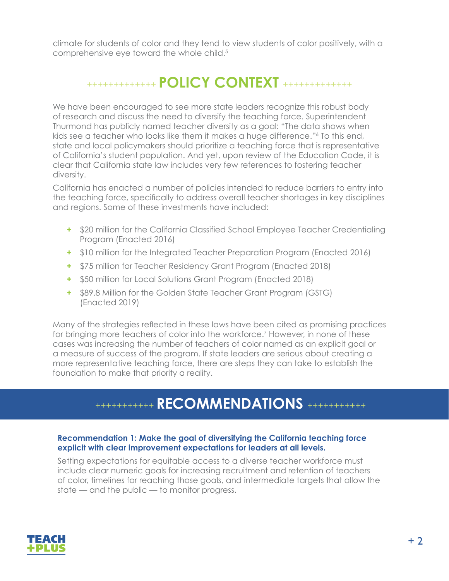climate for students of color and they tend to view students of color positively, with a comprehensive eye toward the whole child.<sup>5</sup>

## +++++++++++++ **POLICY CONTEXT** +++++++++++++

We have been encouraged to see more state leaders recognize this robust body of research and discuss the need to diversify the teaching force. Superintendent Thurmond has publicly named teacher diversity as a goal: "The data shows when kids see a teacher who looks like them it makes a huge difference."<sup>6</sup> To this end, state and local policymakers should prioritize a teaching force that is representative of California's student population. And yet, upon review of the Education Code, it is clear that California state law includes very few references to fostering teacher diversity.

California has enacted a number of policies intended to reduce barriers to entry into the teaching force, specifically to address overall teacher shortages in key disciplines and regions. Some of these investments have included:

- **+** \$20 million for the California Classified School Employee Teacher Credentialing Program (Enacted 2016)
- **+** \$10 million for the Integrated Teacher Preparation Program (Enacted 2016)
- **+** \$75 million for Teacher Residency Grant Program (Enacted 2018)
- **+** \$50 million for Local Solutions Grant Program (Enacted 2018)
- **+** \$89.8 Million for the Golden State Teacher Grant Program (GSTG) (Enacted 2019)

Many of the strategies reflected in these laws have been cited as promising practices for bringing more teachers of color into the workforce.<sup>7</sup> However, in none of these cases was increasing the number of teachers of color named as an explicit goal or a measure of success of the program. If state leaders are serious about creating a more representative teaching force, there are steps they can take to establish the foundation to make that priority a reality.

## +++++++++++ **RECOMMENDATIONS** +++++++++++

#### **Recommendation 1: Make the goal of diversifying the California teaching force explicit with clear improvement expectations for leaders at all levels.**

Setting expectations for equitable access to a diverse teacher workforce must include clear numeric goals for increasing recruitment and retention of teachers of color, timelines for reaching those goals, and intermediate targets that allow the state — and the public — to monitor progress.

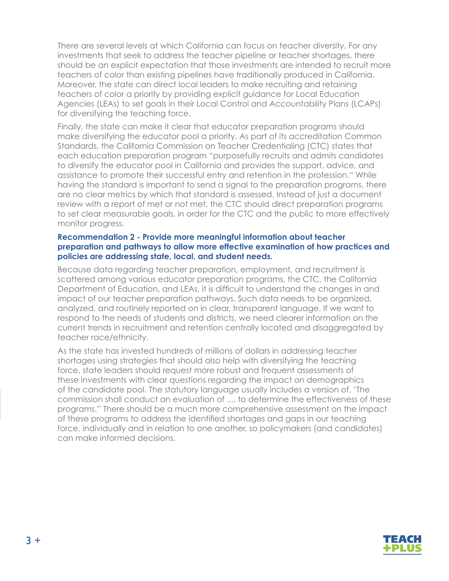There are several levels at which California can focus on teacher diversity. For any investments that seek to address the teacher pipeline or teacher shortages, there should be an explicit expectation that those investments are intended to recruit more teachers of color than existing pipelines have traditionally produced in California. Moreover, the state can direct local leaders to make recruiting and retaining teachers of color a priority by providing explicit guidance for Local Education Agencies (LEAs) to set goals in their Local Control and Accountability Plans (LCAPs) for diversifying the teaching force.

Finally, the state can make it clear that educator preparation programs should make diversifying the educator pool a priority. As part of its accreditation Common Standards, the California Commission on Teacher Credentialing (CTC) states that each education preparation program "purposefully recruits and admits candidates to diversify the educator pool in California and provides the support, advice, and assistance to promote their successful entry and retention in the profession." While having the standard is important to send a signal to the preparation programs, there are no clear metrics by which that standard is assessed. Instead of just a document review with a report of met or not met, the CTC should direct preparation programs to set clear measurable goals, in order for the CTC and the public to more effectively monitor progress.

#### **Recommendation 2 - Provide more meaningful information about teacher preparation and pathways to allow more effective examination of how practices and policies are addressing state, local, and student needs.**

Because data regarding teacher preparation, employment, and recruitment is scattered among various educator preparation programs, the CTC, the California Department of Education, and LEAs, it is difficult to understand the changes in and impact of our teacher preparation pathways. Such data needs to be organized, analyzed, and routinely reported on in clear, transparent language. If we want to respond to the needs of students and districts, we need clearer information on the current trends in recruitment and retention centrally located and disaggregated by teacher race/ethnicity.

As the state has invested hundreds of millions of dollars in addressing teacher shortages using strategies that should also help with diversifying the teaching force, state leaders should request more robust and frequent assessments of these investments with clear questions regarding the impact on demographics of the candidate pool. The statutory language usually includes a version of, 'The commission shall conduct an evaluation of .... to determine the effectiveness of these programs." There should be a much more comprehensive assessment on the impact of these programs to address the identified shortages and gaps in our teaching force, individually and in relation to one another, so policymakers (and candidates) can make informed decisions.

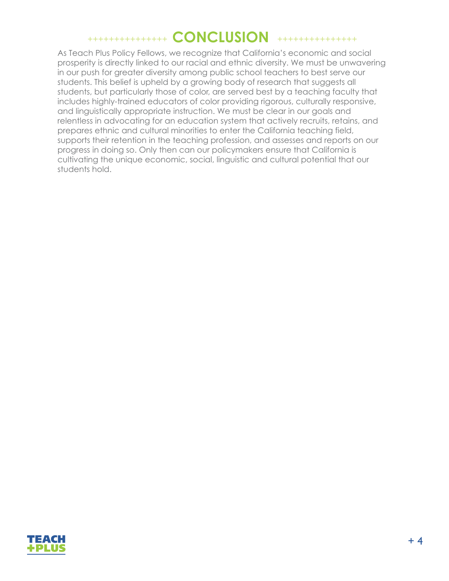### +++++++++++++++ **CONCLUSION** +++++++++++++++

As Teach Plus Policy Fellows, we recognize that California's economic and social prosperity is directly linked to our racial and ethnic diversity. We must be unwavering in our push for greater diversity among public school teachers to best serve our students. This belief is upheld by a growing body of research that suggests all students, but particularly those of color, are served best by a teaching faculty that includes highly-trained educators of color providing rigorous, culturally responsive, and linguistically appropriate instruction. We must be clear in our goals and relentless in advocating for an education system that actively recruits, retains, and prepares ethnic and cultural minorities to enter the California teaching field, supports their retention in the teaching profession, and assesses and reports on our progress in doing so. Only then can our policymakers ensure that California is cultivating the unique economic, social, linguistic and cultural potential that our students hold.